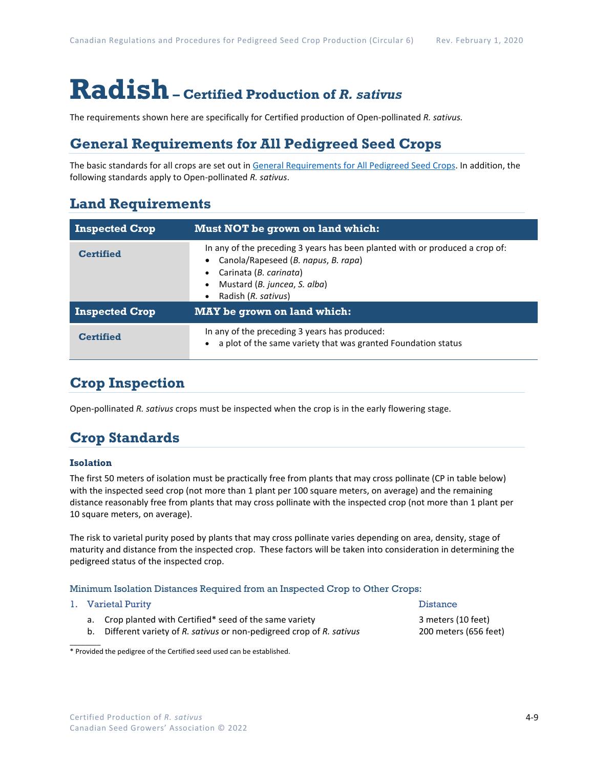# **Radish– Certified Production of** *R. sativus*

The requirements shown here are specifically for Certified production of Open-pollinated *R. sativus.*

## **General Requirements for All Pedigreed Seed Crops**

The basic standards for all crops are set out i[n General Requirements for All Pedigreed Seed](https://seedgrowers.ca/wp-content/uploads/2020/01/GENERAL-REQUIREMENTS-ALL-CROPS_EN.pdf) Crops. In addition, the following standards apply to Open-pollinated *R. sativus*.

### **Land Requirements**

| <b>Inspected Crop</b> | Must NOT be grown on land which:                                                                                                                                                                     |  |
|-----------------------|------------------------------------------------------------------------------------------------------------------------------------------------------------------------------------------------------|--|
| <b>Certified</b>      | In any of the preceding 3 years has been planted with or produced a crop of:<br>Canola/Rapeseed (B. napus, B. rapa)<br>Carinata (B. carinata)<br>Mustard (B. juncea, S. alba)<br>Radish (R. sativus) |  |
| <b>Inspected Crop</b> | <b>MAY</b> be grown on land which:                                                                                                                                                                   |  |
| <b>Certified</b>      | In any of the preceding 3 years has produced:<br>a plot of the same variety that was granted Foundation status                                                                                       |  |

# **Crop Inspection**

Open-pollinated *R. sativus* crops must be inspected when the crop is in the early flowering stage.

# **Crop Standards**

#### **Isolation**

The first 50 meters of isolation must be practically free from plants that may cross pollinate (CP in table below) with the inspected seed crop (not more than 1 plant per 100 square meters, on average) and the remaining distance reasonably free from plants that may cross pollinate with the inspected crop (not more than 1 plant per 10 square meters, on average).

The risk to varietal purity posed by plants that may cross pollinate varies depending on area, density, stage of maturity and distance from the inspected crop. These factors will be taken into consideration in determining the pedigreed status of the inspected crop.

#### Minimum Isolation Distances Required from an Inspected Crop to Other Crops:

|  | 1. Varietal Purity                                                                                                                 | <b>Distance</b>                             |  |
|--|------------------------------------------------------------------------------------------------------------------------------------|---------------------------------------------|--|
|  | a. Crop planted with Certified* seed of the same variety<br>b. Different variety of R. sativus or non-pedigreed crop of R. sativus | 3 meters (10 feet)<br>200 meters (656 feet) |  |

\* Provided the pedigree of the Certified seed used can be established.